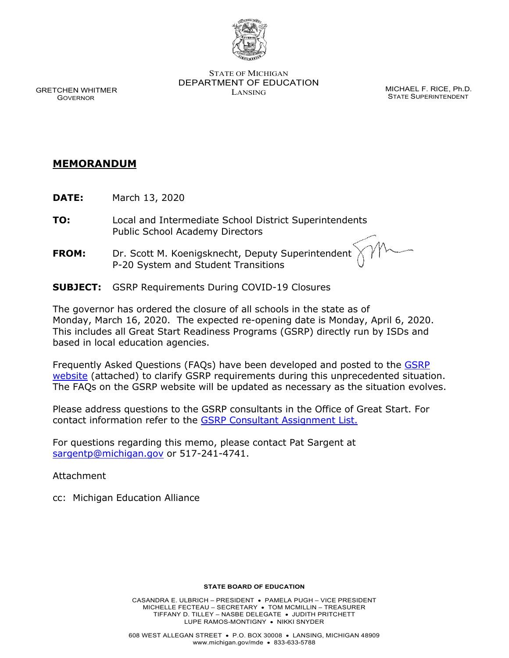

STATE OF MICHIGAN DEPARTMENT OF EDUCATION MICHAEL F. RICE, Ph.D.<br>LANSING

STATE SUPERINTENDENT

 GRETCHEN WHITMER GOVERNOR

## **MEMORANDUM**

- **DATE:** March 13, 2020
- **TO:** Local and Intermediate School District Superintendents Public School Academy Directors
- **FROM:** Dr. Scott M. Koenigsknecht, Deputy Superintendent P-20 System and Student Transitions
- **SUBJECT:** GSRP Requirements During COVID-19 Closures

The governor has ordered the closure of all schools in the state as of Monday, March 16, 2020. The expected re-opening date is Monday, April 6, 2020. This includes all Great Start Readiness Programs (GSRP) directly run by ISDs and based in local education agencies.

Frequently Asked Questions (FAQs) have been developed and posted to the **GSRP** [website](https://www.michigan.gov/mde/0,4615,7-140-63533_50451---,00.html) (attached) to clarify GSRP requirements during this unprecedented situation. The FAQs on the GSRP website will be updated as necessary as the situation evolves.

Please address questions to the GSRP consultants in the Office of Great Start. For contact information refer to the [GSRP Consultant Assignment List.](https://www.michigan.gov/documents/mde/ISD_Consultant_Assignment_List_5.31.19_656679_7.pdf)

For questions regarding this memo, please contact Pat Sargent at [sargentp@michigan.gov](mailto:sargentp@michigan.gov) or 517-241-4741.

Attachment

cc: Michigan Education Alliance

## **STATE BOARD OF EDUCATION**

CASANDRA E. ULBRICH – PRESIDENT • PAMELA PUGH – VICE PRESIDENT MICHELLE FECTEAU – SECRETARY • TOM MCMILLIN – TREASURER TIFFANY D. TILLEY – NASBE DELEGATE • JUDITH PRITCHETT LUPE RAMOS-MONTIGNY • NIKKI SNYDER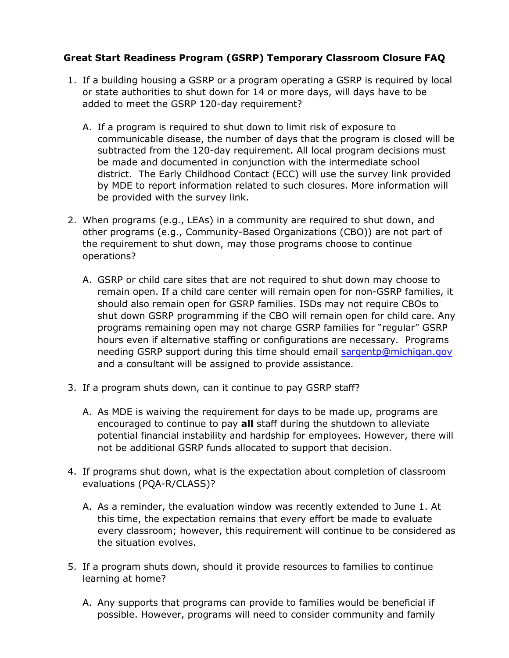## **Great Start Readiness Program (GSRP) Temporary Classroom Closure FAQ**

- 1. If a building housing a GSRP or a program operating a GSRP is required by local or state authorities to shut down for 14 or more days, will days have to be added to meet the GSRP 120-day requirement?
	- A. If a program is required to shut down to limit risk of exposure to communicable disease, the number of days that the program is closed will be subtracted from the 120-day requirement. All local program decisions must be made and documented in conjunction with the intermediate school district. The Early Childhood Contact (ECC) will use the survey link provided by MDE to report information related to such closures. More information will be provided with the survey link.
- 2. When programs (e.g., LEAs) in a community are required to shut down, and other programs (e.g., Community-Based Organizations (CBO)) are not part of the requirement to shut down, may those programs choose to continue operations?
	- A. GSRP or child care sites that are not required to shut down may choose to remain open. If a child care center will remain open for non-GSRP families, it should also remain open for GSRP families. ISDs may not require CBOs to shut down GSRP programming if the CBO will remain open for child care. Any programs remaining open may not charge GSRP families for "regular" GSRP hours even if alternative staffing or configurations are necessary. Programs needing GSRP support during this time should email [sargentp@michigan.gov](mailto:sargentp@michigan.gov) and a consultant will be assigned to provide assistance.
- 3. If a program shuts down, can it continue to pay GSRP staff?
	- A. As MDE is waiving the requirement for days to be made up, programs are encouraged to continue to pay **all** staff during the shutdown to alleviate potential financial instability and hardship for employees. However, there will not be additional GSRP funds allocated to support that decision.
- 4. If programs shut down, what is the expectation about completion of classroom evaluations (PQA-R/CLASS)?
	- A. As a reminder, the evaluation window was recently extended to June 1. At this time, the expectation remains that every effort be made to evaluate every classroom; however, this requirement will continue to be considered as the situation evolves.
- 5. If a program shuts down, should it provide resources to families to continue learning at home?
	- A. Any supports that programs can provide to families would be beneficial if possible. However, programs will need to consider community and family